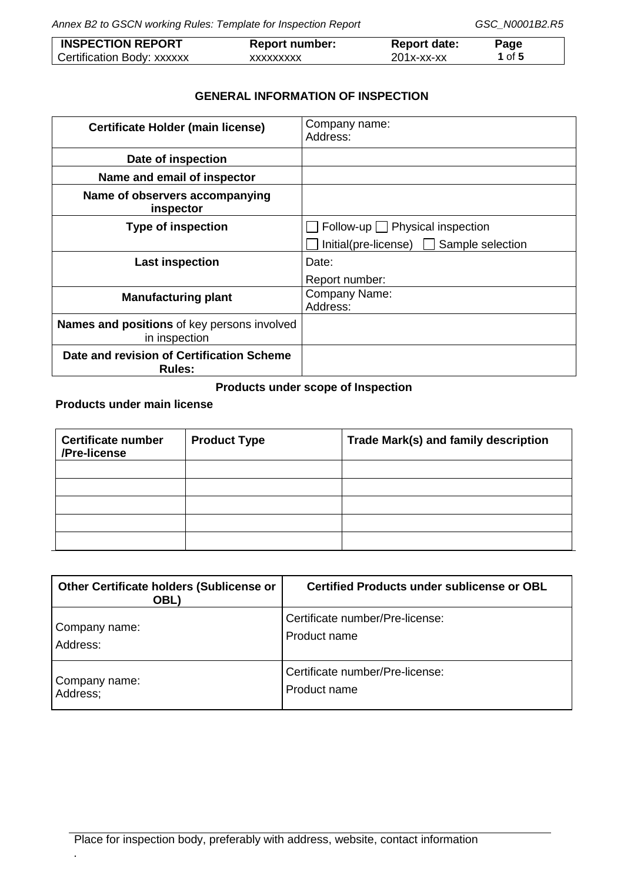*Annex B2 to GSCN working Rules: Template for Inspection Report GSC\_N0001B2.R5*

| <b>INSPECTION REPORT</b>   | <b>Report number:</b> | <b>Report date:</b>  | Page          |
|----------------------------|-----------------------|----------------------|---------------|
| Certification Body: xxxxxx | XXXXXXXXX             | $201x$ - $xx$ - $xx$ | <b>1</b> of 5 |

## **GENERAL INFORMATION OF INSPECTION**

| <b>Certificate Holder (main license)</b>                            | Company name:<br>Address:                      |
|---------------------------------------------------------------------|------------------------------------------------|
| Date of inspection                                                  |                                                |
| Name and email of inspector                                         |                                                |
| Name of observers accompanying<br>inspector                         |                                                |
| <b>Type of inspection</b>                                           | Follow-up Physical inspection                  |
|                                                                     | $Initial(pre-license)$ $\Box$ Sample selection |
| <b>Last inspection</b>                                              | Date:                                          |
|                                                                     | Report number:                                 |
| <b>Manufacturing plant</b>                                          | Company Name:<br>Address:                      |
| <b>Names and positions</b> of key persons involved<br>in inspection |                                                |
| Date and revision of Certification Scheme<br><b>Rules:</b>          |                                                |

# **Products under scope of Inspection**

**Products under main license**

| <b>Certificate number</b><br>/Pre-license | <b>Product Type</b> | Trade Mark(s) and family description |
|-------------------------------------------|---------------------|--------------------------------------|
|                                           |                     |                                      |
|                                           |                     |                                      |
|                                           |                     |                                      |
|                                           |                     |                                      |
|                                           |                     |                                      |

| <b>Other Certificate holders (Sublicense or</b><br>OBL) | Certified Products under sublicense or OBL |
|---------------------------------------------------------|--------------------------------------------|
| Company name:                                           | Certificate number/Pre-license:            |
| Address:                                                | Product name                               |
| Company name:                                           | Certificate number/Pre-license:            |
| Address;                                                | Product name                               |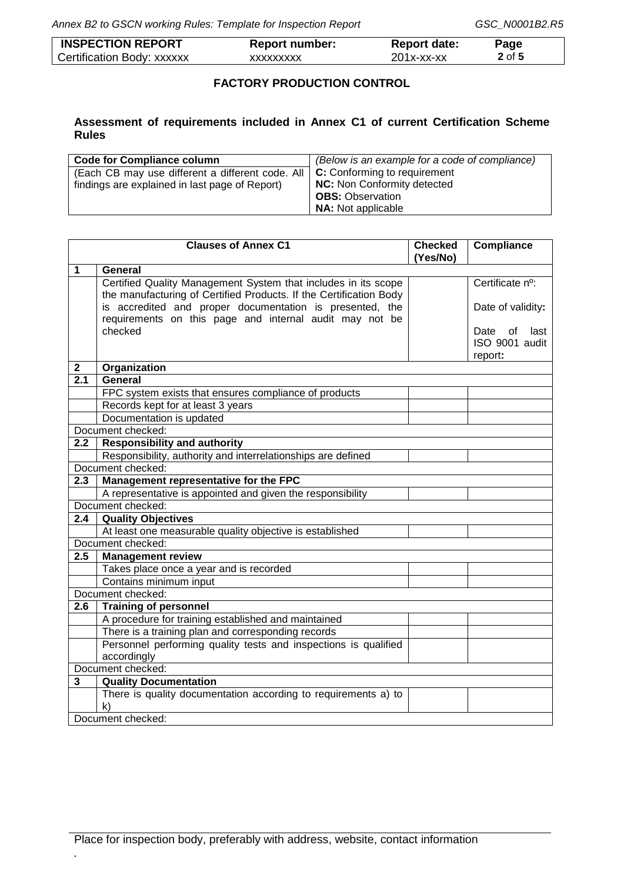| <b>INSPECTION REPORT</b>   | <b>Report number:</b> | <b>Report date:</b> | Page   |
|----------------------------|-----------------------|---------------------|--------|
| Certification Body: xxxxxx | XXXXXXXXX             | 201x-xx-xx          | 2 of 5 |

## **FACTORY PRODUCTION CONTROL**

## **Assessment of requirements included in Annex C1 of current Certification Scheme Rules**

| <b>Code for Compliance column</b>                | (Below is an example for a code of compliance) |
|--------------------------------------------------|------------------------------------------------|
| (Each CB may use different a different code. All | C: Conforming to requirement                   |
| findings are explained in last page of Report)   | <b>NC:</b> Non Conformity detected             |
|                                                  | <b>OBS: Observation</b>                        |
|                                                  | <b>NA:</b> Not applicable                      |

|              | <b>Clauses of Annex C1</b>                                         | <b>Checked</b><br>(Yes/No) | Compliance         |
|--------------|--------------------------------------------------------------------|----------------------------|--------------------|
| $\mathbf{1}$ | <b>General</b>                                                     |                            |                    |
|              | Certified Quality Management System that includes in its scope     |                            | Certificate nº:    |
|              | the manufacturing of Certified Products. If the Certification Body |                            |                    |
|              | is accredited and proper documentation is presented, the           |                            | Date of validity:  |
|              | requirements on this page and internal audit may not be            |                            |                    |
|              | checked                                                            |                            | Date<br>of<br>last |
|              |                                                                    |                            | ISO 9001 audit     |
|              |                                                                    |                            | report:            |
| $\mathbf 2$  | Organization                                                       |                            |                    |
| 2.1          | General                                                            |                            |                    |
|              | FPC system exists that ensures compliance of products              |                            |                    |
|              | Records kept for at least 3 years                                  |                            |                    |
|              | Documentation is updated                                           |                            |                    |
|              | Document checked:                                                  |                            |                    |
| 2.2          | <b>Responsibility and authority</b>                                |                            |                    |
|              | Responsibility, authority and interrelationships are defined       |                            |                    |
|              | Document checked:                                                  |                            |                    |
| 2.3          | Management representative for the FPC                              |                            |                    |
|              | A representative is appointed and given the responsibility         |                            |                    |
|              | Document checked:                                                  |                            |                    |
| 2.4          | <b>Quality Objectives</b>                                          |                            |                    |
|              | At least one measurable quality objective is established           |                            |                    |
|              | Document checked:                                                  |                            |                    |
| 2.5          | <b>Management review</b>                                           |                            |                    |
|              | Takes place once a year and is recorded                            |                            |                    |
|              | Contains minimum input                                             |                            |                    |
|              | Document checked:                                                  |                            |                    |
| 2.6          | <b>Training of personnel</b>                                       |                            |                    |
|              | A procedure for training established and maintained                |                            |                    |
|              | There is a training plan and corresponding records                 |                            |                    |
|              | Personnel performing quality tests and inspections is qualified    |                            |                    |
|              | accordingly                                                        |                            |                    |
|              | Document checked:                                                  |                            |                    |
| 3            | <b>Quality Documentation</b>                                       |                            |                    |
|              | There is quality documentation according to requirements a) to     |                            |                    |
|              | $\mathsf{k}$                                                       |                            |                    |
|              | Document checked:                                                  |                            |                    |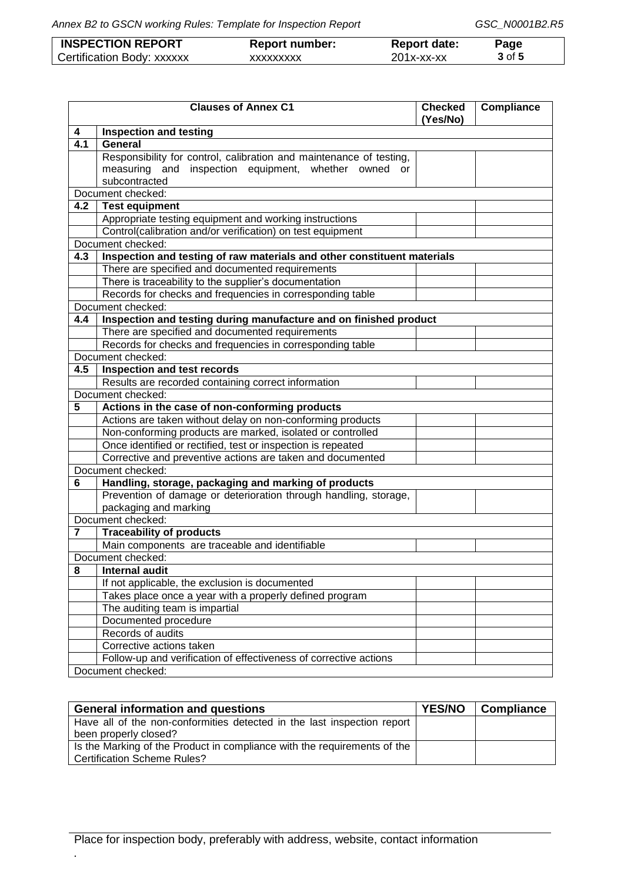| <b>INSPECTION REPORT</b>   | <b>Report number:</b> | <b>Report date:</b> | Page   |
|----------------------------|-----------------------|---------------------|--------|
| Certification Body: xxxxxx | XXXXXXXXX             | $201x$ -xx-xx       | 3 of 5 |

|                  | <b>Clauses of Annex C1</b>                                              | <b>Checked</b><br>(Yes/No) | Compliance |
|------------------|-------------------------------------------------------------------------|----------------------------|------------|
| 4                | <b>Inspection and testing</b>                                           |                            |            |
| $\overline{4.1}$ | General                                                                 |                            |            |
|                  | Responsibility for control, calibration and maintenance of testing,     |                            |            |
|                  | measuring and inspection equipment, whether owned<br>or                 |                            |            |
|                  | subcontracted                                                           |                            |            |
|                  | Document checked:                                                       |                            |            |
| 4.2              | Test equipment                                                          |                            |            |
|                  | Appropriate testing equipment and working instructions                  |                            |            |
|                  | Control(calibration and/or verification) on test equipment              |                            |            |
|                  | Document checked:                                                       |                            |            |
| 4.3              | Inspection and testing of raw materials and other constituent materials |                            |            |
|                  | There are specified and documented requirements                         |                            |            |
|                  | There is traceability to the supplier's documentation                   |                            |            |
|                  | Records for checks and frequencies in corresponding table               |                            |            |
|                  | Document checked:                                                       |                            |            |
| 4.4              | Inspection and testing during manufacture and on finished product       |                            |            |
|                  | There are specified and documented requirements                         |                            |            |
|                  | Records for checks and frequencies in corresponding table               |                            |            |
|                  | Document checked:                                                       |                            |            |
| 4.5              | Inspection and test records                                             |                            |            |
|                  | Results are recorded containing correct information                     |                            |            |
|                  | Document checked:                                                       |                            |            |
| 5                | Actions in the case of non-conforming products                          |                            |            |
|                  | Actions are taken without delay on non-conforming products              |                            |            |
|                  | Non-conforming products are marked, isolated or controlled              |                            |            |
|                  | Once identified or rectified, test or inspection is repeated            |                            |            |
|                  | Corrective and preventive actions are taken and documented              |                            |            |
|                  | Document checked:                                                       |                            |            |
| 6                | Handling, storage, packaging and marking of products                    |                            |            |
|                  | Prevention of damage or deterioration through handling, storage,        |                            |            |
|                  | packaging and marking                                                   |                            |            |
|                  | Document checked:                                                       |                            |            |
| 7                | <b>Traceability of products</b>                                         |                            |            |
|                  | Main components are traceable and identifiable                          |                            |            |
|                  | Document checked:                                                       |                            |            |
|                  | 8 Internal audit                                                        |                            |            |
|                  | If not applicable, the exclusion is documented                          |                            |            |
|                  | Takes place once a year with a properly defined program                 |                            |            |
|                  | The auditing team is impartial                                          |                            |            |
|                  | Documented procedure                                                    |                            |            |
|                  | Records of audits                                                       |                            |            |
|                  | Corrective actions taken                                                |                            |            |
|                  | Follow-up and verification of effectiveness of corrective actions       |                            |            |
|                  | Document checked:                                                       |                            |            |

| <b>General information and questions</b>                                 |  | <b>Compliance</b> |
|--------------------------------------------------------------------------|--|-------------------|
| Have all of the non-conformities detected in the last inspection report  |  |                   |
| been properly closed?                                                    |  |                   |
| Is the Marking of the Product in compliance with the requirements of the |  |                   |
| <b>Certification Scheme Rules?</b>                                       |  |                   |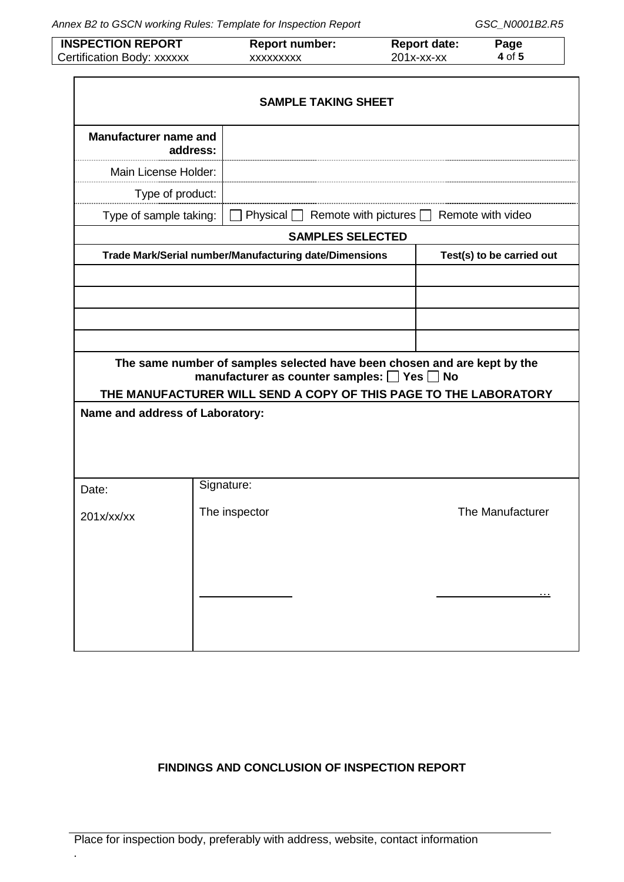*Annex B2 to GSCN working Rules: Template for Inspection Report GSC\_N0001B2.R5*

| <b>INSPECTION REPORT</b>   | <b>Report number:</b> | <b>Report date:</b> | Page   |
|----------------------------|-----------------------|---------------------|--------|
| Certification Body: xxxxxx | xxxxxxxxx             | $201x$ -xx-xx       | 4 of 5 |

|                                          |               | <b>SAMPLE TAKING SHEET</b>                                                                                                        |                           |
|------------------------------------------|---------------|-----------------------------------------------------------------------------------------------------------------------------------|---------------------------|
| <b>Manufacturer name and</b><br>address: |               |                                                                                                                                   |                           |
| Main License Holder:                     |               |                                                                                                                                   |                           |
| Type of product:                         |               |                                                                                                                                   |                           |
| Type of sample taking:                   |               | Remote with pictures [<br>Physical                                                                                                | Remote with video         |
|                                          |               | <b>SAMPLES SELECTED</b>                                                                                                           |                           |
|                                          |               | Trade Mark/Serial number/Manufacturing date/Dimensions                                                                            | Test(s) to be carried out |
|                                          |               |                                                                                                                                   |                           |
|                                          |               |                                                                                                                                   |                           |
|                                          |               |                                                                                                                                   |                           |
|                                          |               |                                                                                                                                   |                           |
|                                          |               | The same number of samples selected have been chosen and are kept by the<br>manufacturer as counter samples: $\Box$ Yes $\Box$ No |                           |
|                                          |               | THE MANUFACTURER WILL SEND A COPY OF THIS PAGE TO THE LABORATORY                                                                  |                           |
| Name and address of Laboratory:          |               |                                                                                                                                   |                           |
|                                          |               |                                                                                                                                   |                           |
|                                          |               |                                                                                                                                   |                           |
|                                          |               |                                                                                                                                   |                           |
| Date:                                    | Signature:    |                                                                                                                                   |                           |
| 201x/xx/xx                               | The inspector |                                                                                                                                   | The Manufacturer          |
|                                          |               |                                                                                                                                   |                           |
|                                          |               |                                                                                                                                   |                           |
|                                          |               |                                                                                                                                   |                           |
|                                          |               |                                                                                                                                   |                           |
|                                          |               |                                                                                                                                   |                           |
|                                          |               |                                                                                                                                   |                           |

# **FINDINGS AND CONCLUSION OF INSPECTION REPORT**